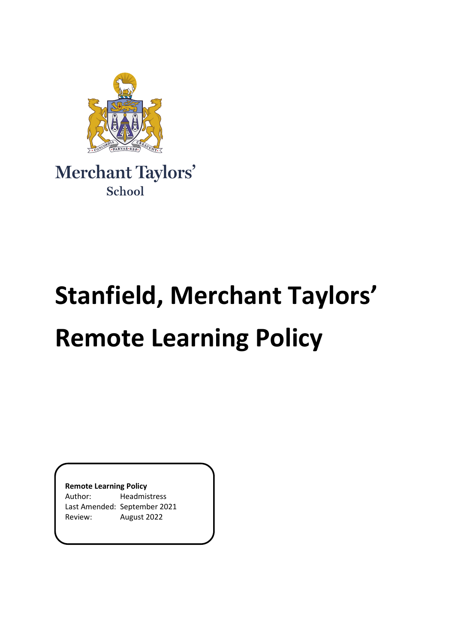

Merchant Taylors' School

# **Stanfield, Merchant Taylors' Remote Learning Policy**

**Remote Learning Policy**

Author: Headmistress Last Amended: September 2021 Review: August 2022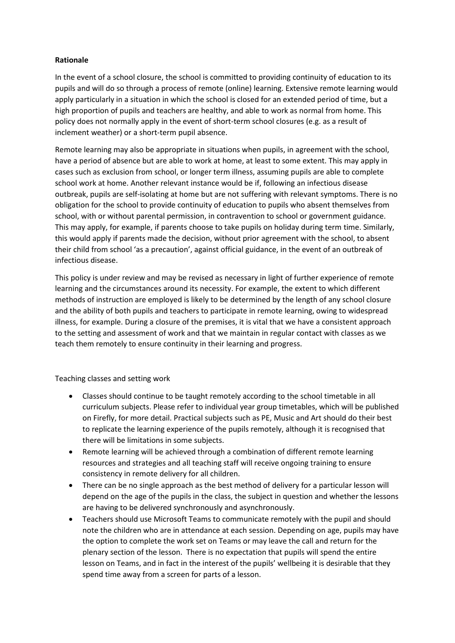### **Rationale**

In the event of a school closure, the school is committed to providing continuity of education to its pupils and will do so through a process of remote (online) learning. Extensive remote learning would apply particularly in a situation in which the school is closed for an extended period of time, but a high proportion of pupils and teachers are healthy, and able to work as normal from home. This policy does not normally apply in the event of short-term school closures (e.g. as a result of inclement weather) or a short-term pupil absence.

Remote learning may also be appropriate in situations when pupils, in agreement with the school, have a period of absence but are able to work at home, at least to some extent. This may apply in cases such as exclusion from school, or longer term illness, assuming pupils are able to complete school work at home. Another relevant instance would be if, following an infectious disease outbreak, pupils are self-isolating at home but are not suffering with relevant symptoms. There is no obligation for the school to provide continuity of education to pupils who absent themselves from school, with or without parental permission, in contravention to school or government guidance. This may apply, for example, if parents choose to take pupils on holiday during term time. Similarly, this would apply if parents made the decision, without prior agreement with the school, to absent their child from school 'as a precaution', against official guidance, in the event of an outbreak of infectious disease.

This policy is under review and may be revised as necessary in light of further experience of remote learning and the circumstances around its necessity. For example, the extent to which different methods of instruction are employed is likely to be determined by the length of any school closure and the ability of both pupils and teachers to participate in remote learning, owing to widespread illness, for example. During a closure of the premises, it is vital that we have a consistent approach to the setting and assessment of work and that we maintain in regular contact with classes as we teach them remotely to ensure continuity in their learning and progress.

Teaching classes and setting work

- Classes should continue to be taught remotely according to the school timetable in all curriculum subjects. Please refer to individual year group timetables, which will be published on Firefly, for more detail. Practical subjects such as PE, Music and Art should do their best to replicate the learning experience of the pupils remotely, although it is recognised that there will be limitations in some subjects.
- Remote learning will be achieved through a combination of different remote learning resources and strategies and all teaching staff will receive ongoing training to ensure consistency in remote delivery for all children.
- There can be no single approach as the best method of delivery for a particular lesson will depend on the age of the pupils in the class, the subject in question and whether the lessons are having to be delivered synchronously and asynchronously.
- Teachers should use Microsoft Teams to communicate remotely with the pupil and should note the children who are in attendance at each session. Depending on age, pupils may have the option to complete the work set on Teams or may leave the call and return for the plenary section of the lesson. There is no expectation that pupils will spend the entire lesson on Teams, and in fact in the interest of the pupils' wellbeing it is desirable that they spend time away from a screen for parts of a lesson.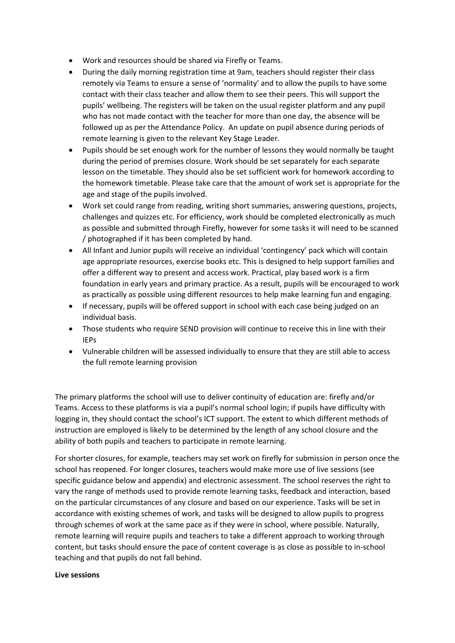- Work and resources should be shared via Firefly or Teams.
- During the daily morning registration time at 9am, teachers should register their class remotely via Teams to ensure a sense of 'normality' and to allow the pupils to have some contact with their class teacher and allow them to see their peers. This will support the pupils' wellbeing. The registers will be taken on the usual register platform and any pupil who has not made contact with the teacher for more than one day, the absence will be followed up as per the Attendance Policy. An update on pupil absence during periods of remote learning is given to the relevant Key Stage Leader.
- Pupils should be set enough work for the number of lessons they would normally be taught during the period of premises closure. Work should be set separately for each separate lesson on the timetable. They should also be set sufficient work for homework according to the homework timetable. Please take care that the amount of work set is appropriate for the age and stage of the pupils involved.
- Work set could range from reading, writing short summaries, answering questions, projects, challenges and quizzes etc. For efficiency, work should be completed electronically as much as possible and submitted through Firefly, however for some tasks it will need to be scanned / photographed if it has been completed by hand.
- All Infant and Junior pupils will receive an individual 'contingency' pack which will contain age appropriate resources, exercise books etc. This is designed to help support families and offer a different way to present and access work. Practical, play based work is a firm foundation in early years and primary practice. As a result, pupils will be encouraged to work as practically as possible using different resources to help make learning fun and engaging.
- If necessary, pupils will be offered support in school with each case being judged on an individual basis.
- Those students who require SEND provision will continue to receive this in line with their IEPs
- Vulnerable children will be assessed individually to ensure that they are still able to access the full remote learning provision

The primary platforms the school will use to deliver continuity of education are: firefly and/or Teams. Access to these platforms is via a pupil's normal school login; if pupils have difficulty with logging in, they should contact the school's ICT support. The extent to which different methods of instruction are employed is likely to be determined by the length of any school closure and the ability of both pupils and teachers to participate in remote learning.

For shorter closures, for example, teachers may set work on firefly for submission in person once the school has reopened. For longer closures, teachers would make more use of live sessions (see specific guidance below and appendix) and electronic assessment. The school reserves the right to vary the range of methods used to provide remote learning tasks, feedback and interaction, based on the particular circumstances of any closure and based on our experience. Tasks will be set in accordance with existing schemes of work, and tasks will be designed to allow pupils to progress through schemes of work at the same pace as if they were in school, where possible. Naturally, remote learning will require pupils and teachers to take a different approach to working through content, but tasks should ensure the pace of content coverage is as close as possible to in-school teaching and that pupils do not fall behind.

#### **Live sessions**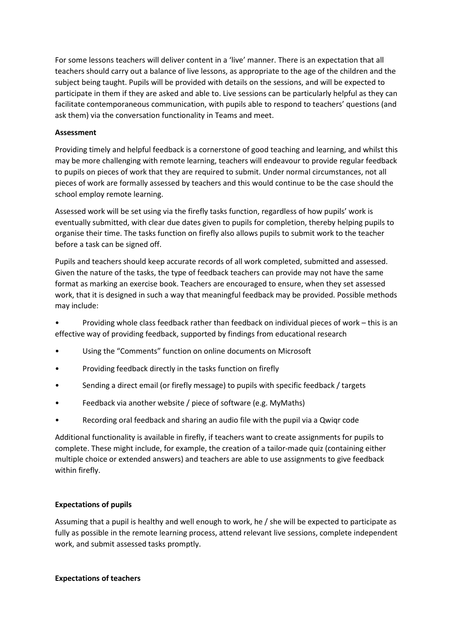For some lessons teachers will deliver content in a 'live' manner. There is an expectation that all teachers should carry out a balance of live lessons, as appropriate to the age of the children and the subject being taught. Pupils will be provided with details on the sessions, and will be expected to participate in them if they are asked and able to. Live sessions can be particularly helpful as they can facilitate contemporaneous communication, with pupils able to respond to teachers' questions (and ask them) via the conversation functionality in Teams and meet.

## **Assessment**

Providing timely and helpful feedback is a cornerstone of good teaching and learning, and whilst this may be more challenging with remote learning, teachers will endeavour to provide regular feedback to pupils on pieces of work that they are required to submit. Under normal circumstances, not all pieces of work are formally assessed by teachers and this would continue to be the case should the school employ remote learning.

Assessed work will be set using via the firefly tasks function, regardless of how pupils' work is eventually submitted, with clear due dates given to pupils for completion, thereby helping pupils to organise their time. The tasks function on firefly also allows pupils to submit work to the teacher before a task can be signed off.

Pupils and teachers should keep accurate records of all work completed, submitted and assessed. Given the nature of the tasks, the type of feedback teachers can provide may not have the same format as marking an exercise book. Teachers are encouraged to ensure, when they set assessed work, that it is designed in such a way that meaningful feedback may be provided. Possible methods may include:

• Providing whole class feedback rather than feedback on individual pieces of work – this is an effective way of providing feedback, supported by findings from educational research

- Using the "Comments" function on online documents on Microsoft
- Providing feedback directly in the tasks function on firefly
- Sending a direct email (or firefly message) to pupils with specific feedback / targets
- Feedback via another website / piece of software (e.g. MyMaths)
- Recording oral feedback and sharing an audio file with the pupil via a Qwiqr code

Additional functionality is available in firefly, if teachers want to create assignments for pupils to complete. These might include, for example, the creation of a tailor-made quiz (containing either multiple choice or extended answers) and teachers are able to use assignments to give feedback within firefly.

## **Expectations of pupils**

Assuming that a pupil is healthy and well enough to work, he / she will be expected to participate as fully as possible in the remote learning process, attend relevant live sessions, complete independent work, and submit assessed tasks promptly.

#### **Expectations of teachers**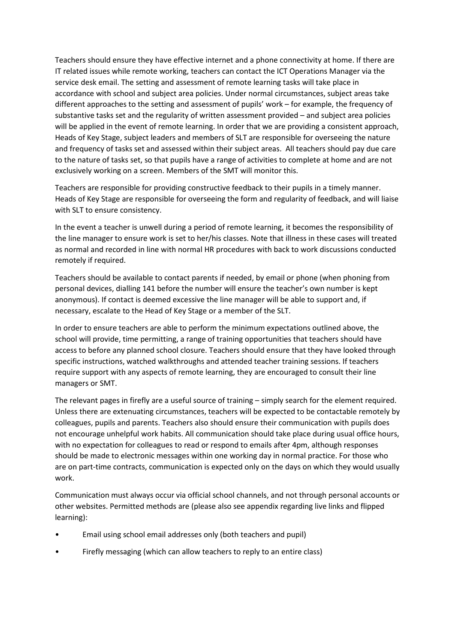Teachers should ensure they have effective internet and a phone connectivity at home. If there are IT related issues while remote working, teachers can contact the ICT Operations Manager via the service desk email. The setting and assessment of remote learning tasks will take place in accordance with school and subject area policies. Under normal circumstances, subject areas take different approaches to the setting and assessment of pupils' work – for example, the frequency of substantive tasks set and the regularity of written assessment provided – and subject area policies will be applied in the event of remote learning. In order that we are providing a consistent approach, Heads of Key Stage, subject leaders and members of SLT are responsible for overseeing the nature and frequency of tasks set and assessed within their subject areas. All teachers should pay due care to the nature of tasks set, so that pupils have a range of activities to complete at home and are not exclusively working on a screen. Members of the SMT will monitor this.

Teachers are responsible for providing constructive feedback to their pupils in a timely manner. Heads of Key Stage are responsible for overseeing the form and regularity of feedback, and will liaise with SLT to ensure consistency.

In the event a teacher is unwell during a period of remote learning, it becomes the responsibility of the line manager to ensure work is set to her/his classes. Note that illness in these cases will treated as normal and recorded in line with normal HR procedures with back to work discussions conducted remotely if required.

Teachers should be available to contact parents if needed, by email or phone (when phoning from personal devices, dialling 141 before the number will ensure the teacher's own number is kept anonymous). If contact is deemed excessive the line manager will be able to support and, if necessary, escalate to the Head of Key Stage or a member of the SLT.

In order to ensure teachers are able to perform the minimum expectations outlined above, the school will provide, time permitting, a range of training opportunities that teachers should have access to before any planned school closure. Teachers should ensure that they have looked through specific instructions, watched walkthroughs and attended teacher training sessions. If teachers require support with any aspects of remote learning, they are encouraged to consult their line managers or SMT.

The relevant pages in firefly are a useful source of training – simply search for the element required. Unless there are extenuating circumstances, teachers will be expected to be contactable remotely by colleagues, pupils and parents. Teachers also should ensure their communication with pupils does not encourage unhelpful work habits. All communication should take place during usual office hours, with no expectation for colleagues to read or respond to emails after 4pm, although responses should be made to electronic messages within one working day in normal practice. For those who are on part-time contracts, communication is expected only on the days on which they would usually work.

Communication must always occur via official school channels, and not through personal accounts or other websites. Permitted methods are (please also see appendix regarding live links and flipped learning):

- Email using school email addresses only (both teachers and pupil)
- Firefly messaging (which can allow teachers to reply to an entire class)